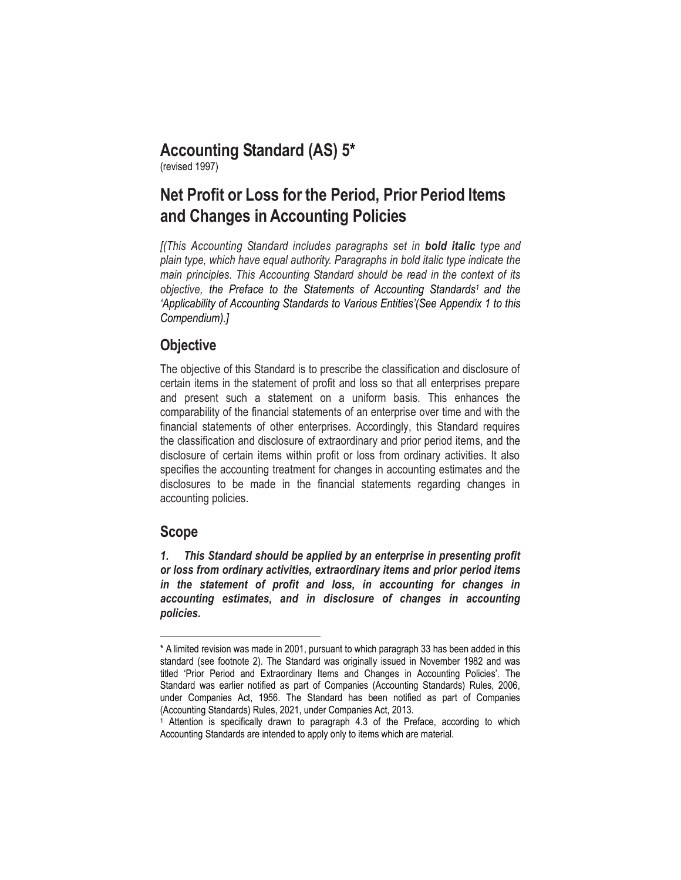# **Accounting Standard (AS) 5\***

(revised 1997)

# **Net Profit or Loss for the Period, Prior Period Items and Changes in Accounting Policies**

*[(This Accounting Standard includes paragraphs set in bold italic type and plain type, which have equal authority. Paragraphs in bold italic type indicate the main principles. This Accounting Standard should be read in the context of its objective, the Preface to the Statements of Accounting Standards<sup>1</sup> and the 'Applicability of Accounting Standards to Various Entities'(See Appendix 1 to this Compendium).]*

## **Objective**

The objective of this Standard is to prescribe the classification and disclosure of certain items in the statement of profit and loss so that all enterprises prepare and present such a statement on a uniform basis. This enhances the comparability of the financial statements of an enterprise over time and with the financial statements of other enterprises. Accordingly, this Standard requires the classification and disclosure of extraordinary and prior period items, and the disclosure of certain items within profit or loss from ordinary activities. It also specifies the accounting treatment for changes in accounting estimates and the disclosures to be made in the financial statements regarding changes in accounting policies.

## **Scope**

 $\overline{\phantom{a}}$ 

*1. This Standard should be applied by an enterprise in presenting profit or loss from ordinary activities, extraordinary items and prior period items in the statement of profit and loss, in accounting for changes in accounting estimates, and in disclosure of changes in accounting policies.*

<sup>\*</sup> A limited revision was made in 2001, pursuant to which paragraph 33 has been added in this standard (see footnote 2). The Standard was originally issued in November 1982 and was titled 'Prior Period and Extraordinary Items and Changes in Accounting Policies'. The Standard was earlier notified as part of Companies (Accounting Standards) Rules, 2006, under Companies Act, 1956. The Standard has been notified as part of Companies (Accounting Standards) Rules, 2021, under Companies Act, 2013.

<sup>1</sup> Attention is specifically drawn to paragraph 4.3 of the Preface, according to which Accounting Standards are intended to apply only to items which are material.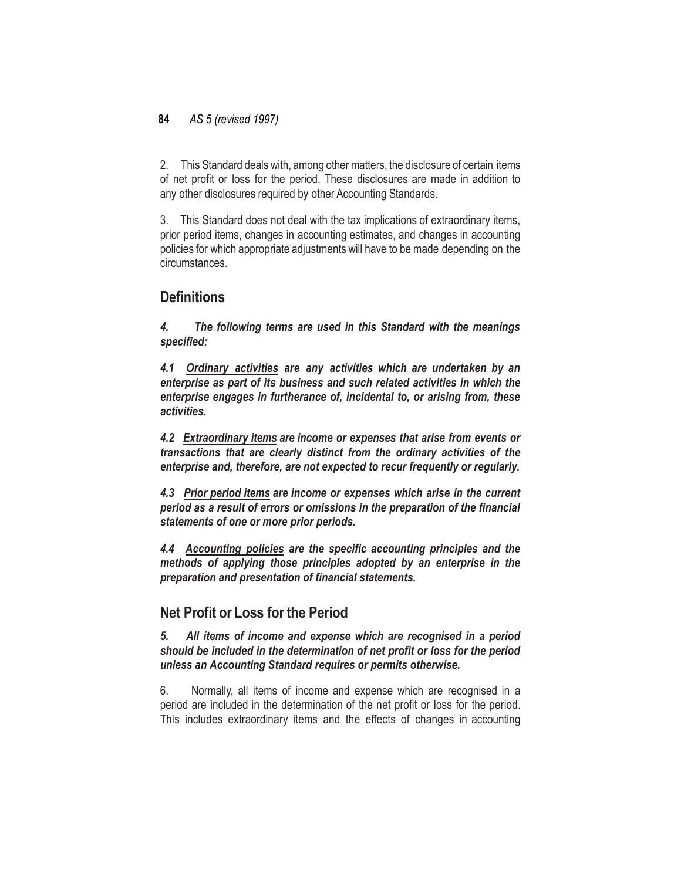2. This Standard deals with, among other matters, the disclosure of certain items of net profit or loss for the period. These disclosures are made in addition to any other disclosures required by other Accounting Standards.

3. This Standard does not deal with the tax implications of extraordinary items, prior period items, changes in accounting estimates, and changes in accounting policies for which appropriate adjustments will have to be made depending on the circumstances.

## **Definitions**

*4. The following terms are used in this Standard with the meanings specified:*

*4.1 Ordinary activities are any activities which are undertaken by an enterprise as part of its business and such related activities in which the enterprise engages in furtherance of, incidental to, or arising from, these activities.*

*4.2 Extraordinary items are income or expenses that arise from events or transactions that are clearly distinct from the ordinary activities of the enterprise and, therefore, are not expected to recur frequently or regularly.*

*4.3 Prior period items are income or expenses which arise in the current period as a result of errors or omissions in the preparation of the financial statements of one or more prior periods.*

*4.4 Accounting policies are the specific accounting principles and the methods of applying those principles adopted by an enterprise in the preparation and presentation of financial statements.*

## **Net Profit or Loss for the Period**

*5. All items of income and expense which are recognised in a period should be included in the determination of net profit or loss for the period unless an Accounting Standard requires or permits otherwise.*

6. Normally, all items of income and expense which are recognised in a period are included in the determination of the net profit or loss for the period. This includes extraordinary items and the effects of changes in accounting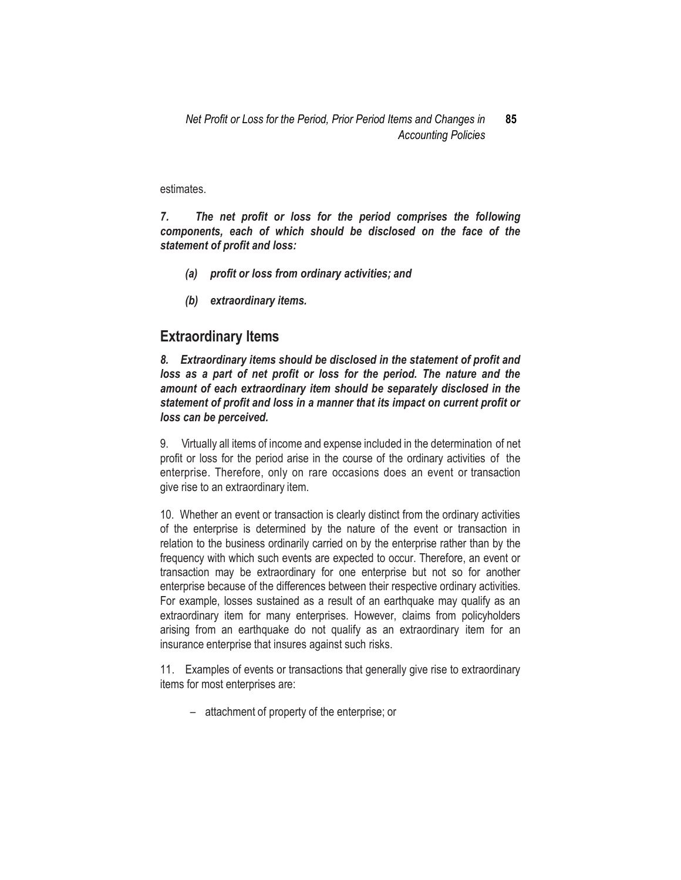*Net Profit or Loss for the Period, Prior Period Items and Changes in Accounting Policies* **85**

#### estimates.

*7. The net profit or loss for the period comprises the following components, each of which should be disclosed on the face of the statement of profit and loss:*

- *(a) profit or loss from ordinary activities; and*
- *(b) extraordinary items.*

#### **Extraordinary Items**

*8. Extraordinary items should be disclosed in the statement of profit and*  loss as a part of net profit or loss for the period. The nature and the *amount of each extraordinary item should be separately disclosed in the statement of profit and loss in a manner that its impact on current profit or loss can be perceived.*

9. Virtually all items of income and expense included in the determination of net profit or loss for the period arise in the course of the ordinary activities of the enterprise. Therefore, only on rare occasions does an event or transaction give rise to an extraordinary item.

10. Whether an event or transaction is clearly distinct from the ordinary activities of the enterprise is determined by the nature of the event or transaction in relation to the business ordinarily carried on by the enterprise rather than by the frequency with which such events are expected to occur. Therefore, an event or transaction may be extraordinary for one enterprise but not so for another enterprise because of the differences between their respective ordinary activities. For example, losses sustained as a result of an earthquake may qualify as an extraordinary item for many enterprises. However, claims from policyholders arising from an earthquake do not qualify as an extraordinary item for an insurance enterprise that insures against such risks.

11. Examples of events or transactions that generally give rise to extraordinary items for most enterprises are:

– attachment of property of the enterprise; or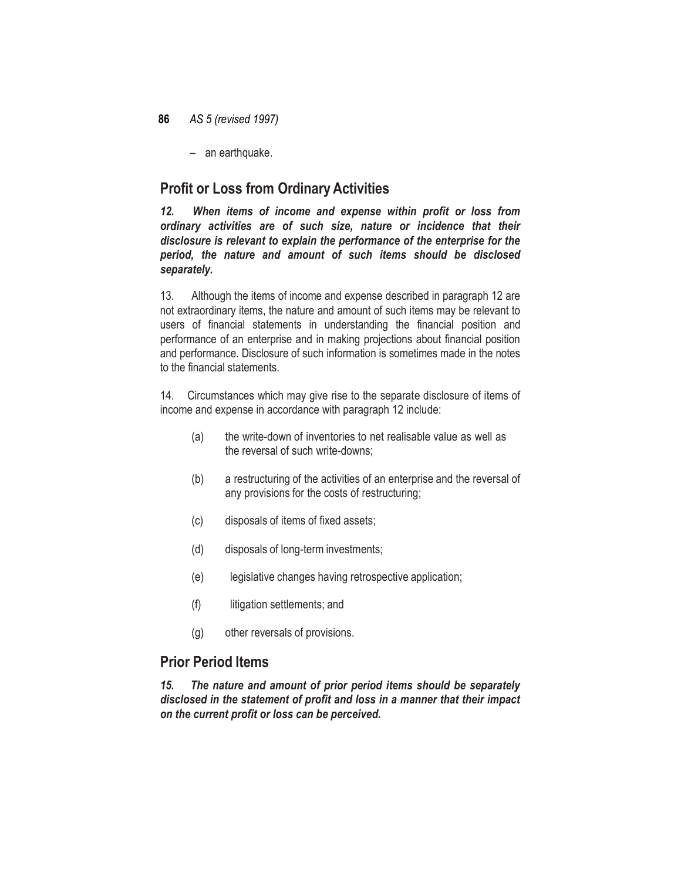– an earthquake.

## **Profit or Loss from Ordinary Activities**

*12. When items of income and expense within profit or loss from ordinary activities are of such size, nature or incidence that their disclosure is relevant to explain the performance of the enterprise for the period, the nature and amount of such items should be disclosed separately.*

13. Although the items of income and expense described in paragraph 12 are not extraordinary items, the nature and amount of such items may be relevant to users of financial statements in understanding the financial position and performance of an enterprise and in making projections about financial position and performance. Disclosure of such information is sometimes made in the notes to the financial statements.

14. Circumstances which may give rise to the separate disclosure of items of income and expense in accordance with paragraph 12 include:

- (a) the write-down of inventories to net realisable value as well as the reversal of such write-downs;
- (b) a restructuring of the activities of an enterprise and the reversal of any provisions for the costs of restructuring;
- (c) disposals of items of fixed assets;
- (d) disposals of long-term investments;
- (e) legislative changes having retrospective application;
- (f) litigation settlements; and
- (g) other reversals of provisions.

## **Prior Period Items**

*15. The nature and amount of prior period items should be separately disclosed in the statement of profit and loss in a manner that their impact on the current profit or loss can be perceived.*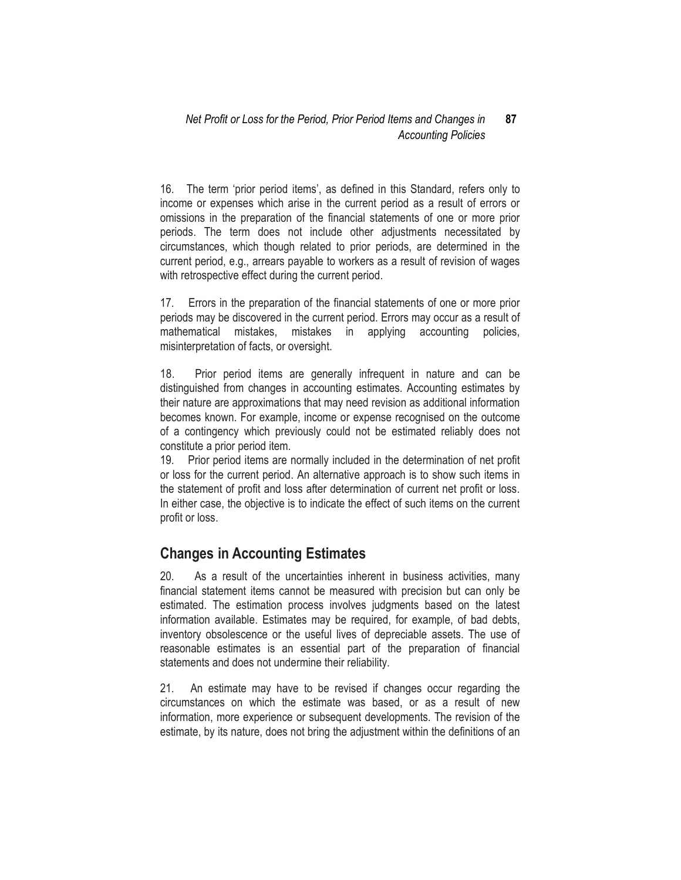#### *Net Profit or Loss for the Period, Prior Period Items and Changes in Accounting Policies* **87**

16. The term 'prior period items', as defined in this Standard, refers only to income or expenses which arise in the current period as a result of errors or omissions in the preparation of the financial statements of one or more prior periods. The term does not include other adjustments necessitated by circumstances, which though related to prior periods, are determined in the current period, e.g., arrears payable to workers as a result of revision of wages with retrospective effect during the current period.

17. Errors in the preparation of the financial statements of one or more prior periods may be discovered in the current period. Errors may occur as a result of mathematical mistakes, mistakes in applying accounting policies, misinterpretation of facts, or oversight.

18. Prior period items are generally infrequent in nature and can be distinguished from changes in accounting estimates. Accounting estimates by their nature are approximations that may need revision as additional information becomes known. For example, income or expense recognised on the outcome of a contingency which previously could not be estimated reliably does not constitute a prior period item.

19. Prior period items are normally included in the determination of net profit or loss for the current period. An alternative approach is to show such items in the statement of profit and loss after determination of current net profit or loss. In either case, the objective is to indicate the effect of such items on the current profit or loss.

## **Changes in Accounting Estimates**

20. As a result of the uncertainties inherent in business activities, many financial statement items cannot be measured with precision but can only be estimated. The estimation process involves judgments based on the latest information available. Estimates may be required, for example, of bad debts, inventory obsolescence or the useful lives of depreciable assets. The use of reasonable estimates is an essential part of the preparation of financial statements and does not undermine their reliability.

21. An estimate may have to be revised if changes occur regarding the circumstances on which the estimate was based, or as a result of new information, more experience or subsequent developments. The revision of the estimate, by its nature, does not bring the adjustment within the definitions of an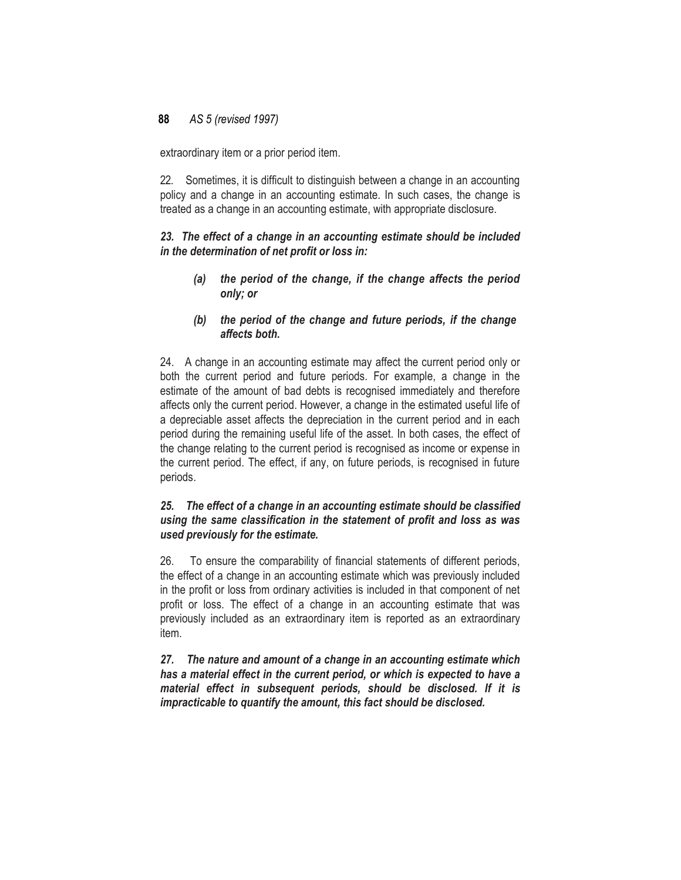extraordinary item or a prior period item.

22. Sometimes, it is difficult to distinguish between a change in an accounting policy and a change in an accounting estimate. In such cases, the change is treated as a change in an accounting estimate, with appropriate disclosure.

#### *23. The effect of a change in an accounting estimate should be included in the determination of net profit or loss in:*

*(a) the period of the change, if the change affects the period only; or*

#### *(b) the period of the change and future periods, if the change affects both.*

24. A change in an accounting estimate may affect the current period only or both the current period and future periods. For example, a change in the estimate of the amount of bad debts is recognised immediately and therefore affects only the current period. However, a change in the estimated useful life of a depreciable asset affects the depreciation in the current period and in each period during the remaining useful life of the asset. In both cases, the effect of the change relating to the current period is recognised as income or expense in the current period. The effect, if any, on future periods, is recognised in future periods.

#### *25. The effect of a change in an accounting estimate should be classified using the same classification in the statement of profit and loss as was used previously for the estimate.*

26. To ensure the comparability of financial statements of different periods, the effect of a change in an accounting estimate which was previously included in the profit or loss from ordinary activities is included in that component of net profit or loss. The effect of a change in an accounting estimate that was previously included as an extraordinary item is reported as an extraordinary item.

*27. The nature and amount of a change in an accounting estimate which has a material effect in the current period, or which is expected to have a material effect in subsequent periods, should be disclosed. If it is impracticable to quantify the amount, this fact should be disclosed.*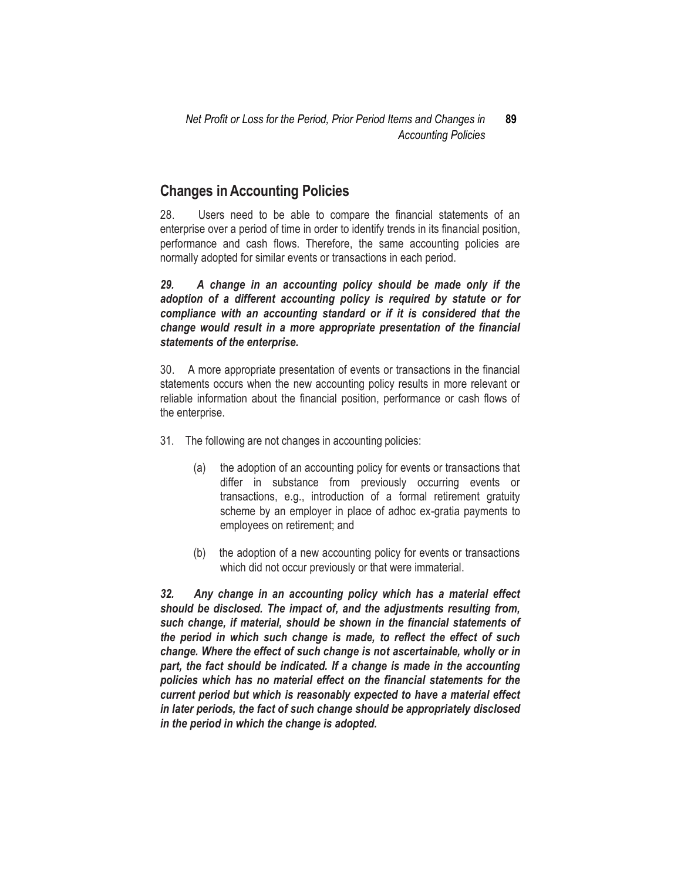## **Changes in Accounting Policies**

28. Users need to be able to compare the financial statements of an enterprise over a period of time in order to identify trends in its financial position, performance and cash flows. Therefore, the same accounting policies are normally adopted for similar events or transactions in each period.

*29. A change in an accounting policy should be made only if the adoption of a different accounting policy is required by statute or for compliance with an accounting standard or if it is considered that the change would result in a more appropriate presentation of the financial statements of the enterprise.*

30. A more appropriate presentation of events or transactions in the financial statements occurs when the new accounting policy results in more relevant or reliable information about the financial position, performance or cash flows of the enterprise.

- 31. The following are not changes in accounting policies:
	- (a) the adoption of an accounting policy for events or transactions that differ in substance from previously occurring events or transactions, e.g., introduction of a formal retirement gratuity scheme by an employer in place of adhoc ex-gratia payments to employees on retirement; and
	- (b) the adoption of a new accounting policy for events or transactions which did not occur previously or that were immaterial.

*32. Any change in an accounting policy which has a material effect should be disclosed. The impact of, and the adjustments resulting from, such change, if material, should be shown in the financial statements of the period in which such change is made, to reflect the effect of such change. Where the effect of such change is not ascertainable, wholly or in*  part, the fact should be indicated. If a change is made in the accounting *policies which has no material effect on the financial statements for the current period but which is reasonably expected to have a material effect in later periods, the fact of such change should be appropriately disclosed in the period in which the change is adopted.*